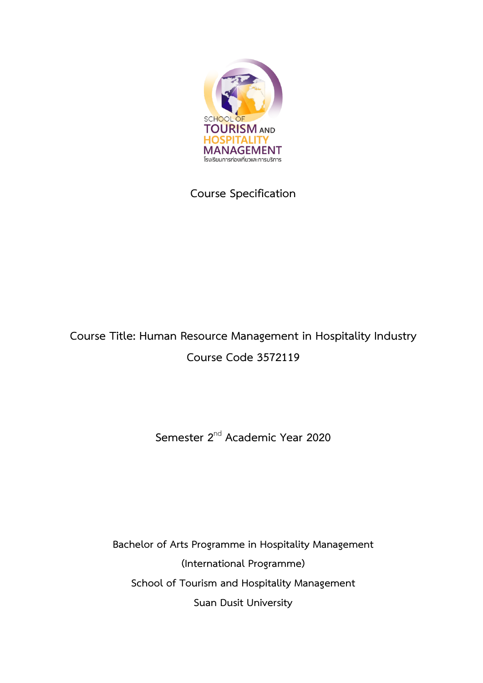

# **Course Specification**

# **Course Title: Human Resource Management in Hospitality Industry Course Code 3572119**

**Semester 2**nd **Academic Year 2020**

**Bachelor of Arts Programme in Hospitality Management (International Programme) School of Tourism and Hospitality Management Suan Dusit University**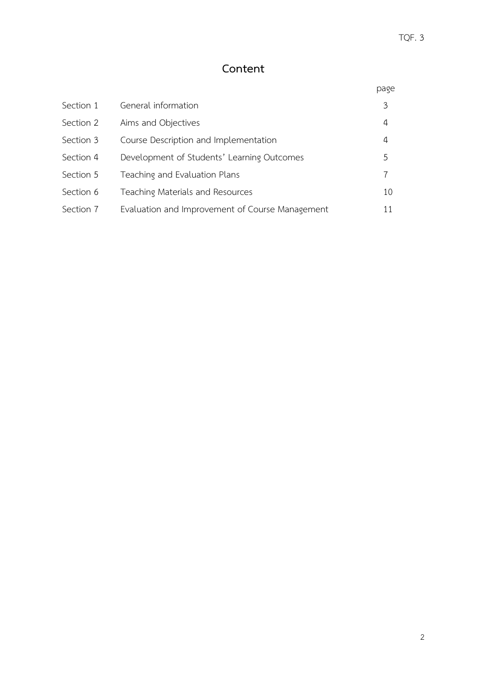# **Content**

|           |                                                 | page |
|-----------|-------------------------------------------------|------|
| Section 1 | General information                             | 3    |
| Section 2 | Aims and Objectives                             | 4    |
| Section 3 | Course Description and Implementation           | 4    |
| Section 4 | Development of Students' Learning Outcomes      | 5    |
| Section 5 | Teaching and Evaluation Plans                   |      |
| Section 6 | Teaching Materials and Resources                | 10   |
| Section 7 | Evaluation and Improvement of Course Management | 11   |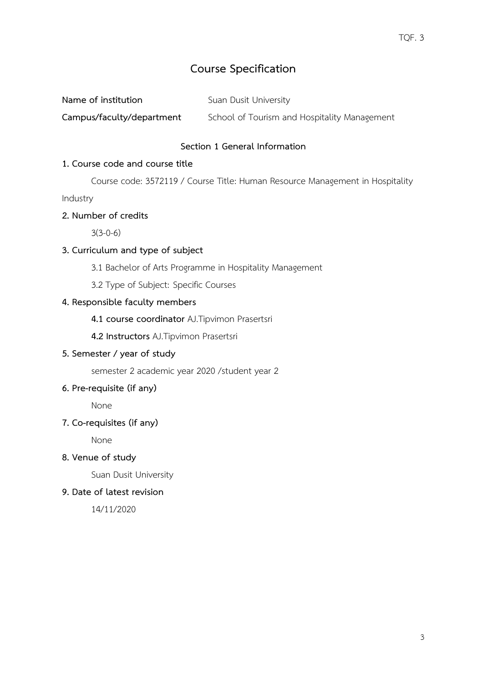# **Course Specification**

**Campus/faculty/department** School of Tourism and Hospitality Management

#### **Section 1 General Information**

#### **1. Course code and course title**

Course code: 3572119 / Course Title: Human Resource Management in Hospitality

Industry

#### **2. Number of credits**

 $3(3-0-6)$ 

# **3. Curriculum and type of subject**

- 3.1 Bachelor of Arts Programme in Hospitality Management
- 3.2 Type of Subject: Specific Courses

## **4. Responsible faculty members**

- **4.1 course coordinator** AJ.Tipvimon Prasertsri
- **4.2 Instructors** AJ.Tipvimon Prasertsri

# **5. Semester / year of study**

semester 2 academic year 2020 /student year 2

# **6. Pre-requisite (if any)**

None

# **7. Co-requisites (if any)**

None

#### **8. Venue of study**

Suan Dusit University

#### **9. Date of latest revision**

14/11/2020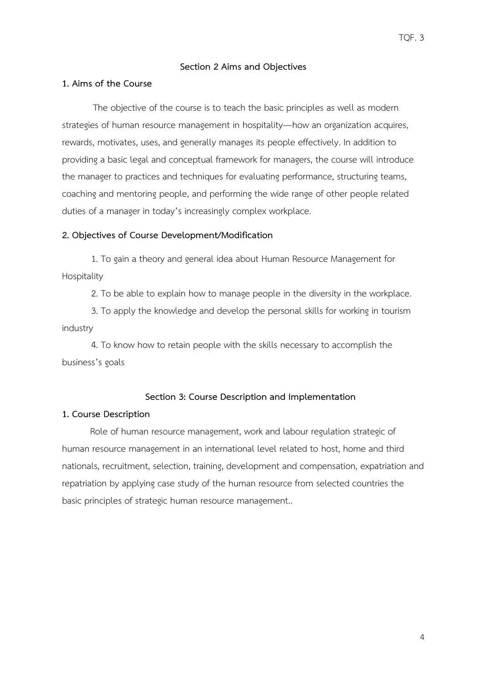#### **Section 2 Aims and Objectives**

#### **1. Aims of the Course**

 The objective of the course is to teach the basic principles as well as modern strategies of human resource management in hospitality—how an organization acquires, rewards, motivates, uses, and generally manages its people effectively. In addition to providing a basic legal and conceptual framework for managers, the course will introduce the manager to practices and techniques for evaluating performance, structuring teams, coaching and mentoring people, and performing the wide range of other people related duties of a manager in today's increasingly complex workplace.

#### **2. Objectives of Course Development/Modification**

1. To gain a theory and general idea about Human Resource Management for Hospitality

2. To be able to explain how to manage people in the diversity in the workplace.

3. To apply the knowledge and develop the personal skills for working in tourism industry

4. To know how to retain people with the skills necessary to accomplish the business's goals

#### **Section 3: Course Description and Implementation**

#### **1. Course Description**

 Role of human resource management, work and labour regulation strategic of human resource management in an international level related to host, home and third nationals, recruitment, selection, training, development and compensation, expatriation and repatriation by applying case study of the human resource from selected countries the basic principles of strategic human resource management..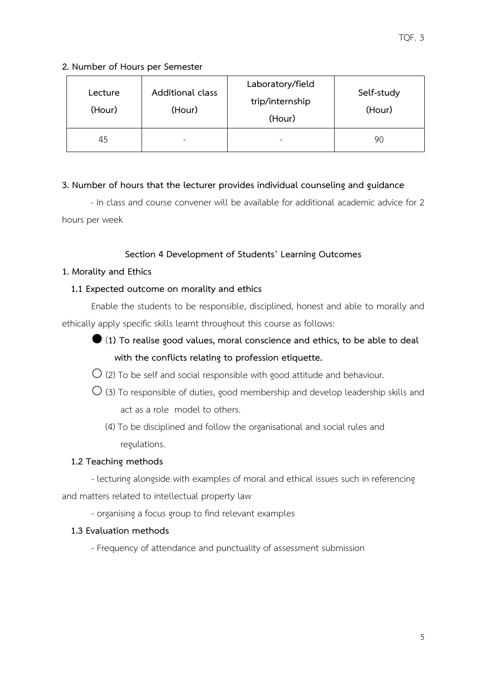#### **2. Number of Hours per Semester**

| Lecture<br>(Hour) | Additional class<br>(Hour) | Laboratory/field<br>trip/internship<br>(Hour) | Self-study<br>(Hour) |
|-------------------|----------------------------|-----------------------------------------------|----------------------|
| 45                | -                          | -                                             | 90                   |

## **3. Number of hours that the lecturer provides individual counseling and guidance**

- In class and course convener will be available for additional academic advice for 2 hours per week

# **Section 4 Development of Students' Learning Outcomes**

#### **1. Morality and Ethics**

## **1.1 Expected outcome on morality and ethics**

Enable the students to be responsible, disciplined, honest and able to morally and ethically apply specific skills learnt throughout this course as follows:

- (**1) To realise good values, moral conscience and ethics, to be able to deal with the conflicts relating to profession etiquette.**
- $\overline{O}$  (2) To be self and social responsible with good attitude and behaviour.
- $\bigcirc$  (3) To responsible of duties, good membership and develop leadership skills and act as a role model to others.
	- (4) To be disciplined and follow the organisational and social rules and regulations.

# **1.2 Teaching methods**

- lecturing alongside with examples of moral and ethical issues such in referencing and matters related to intellectual property law

- organising a focus group to find relevant examples

# **1.3 Evaluation methods**

- Frequency of attendance and punctuality of assessment submission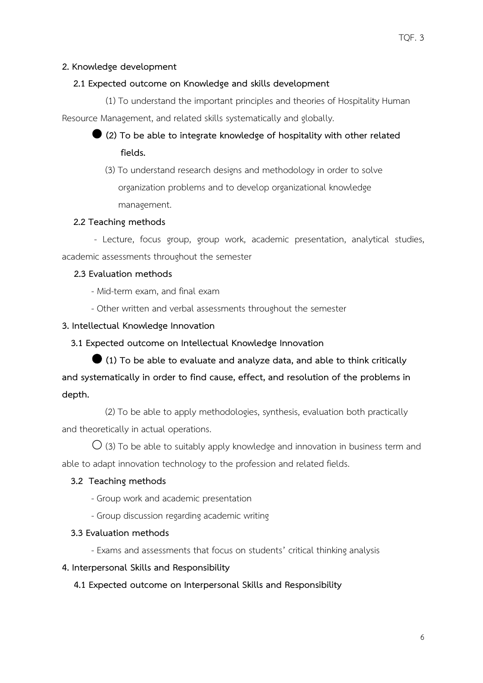#### **2. Knowledge development**

#### **2.1 Expected outcome on Knowledge and skills development**

(1) To understand the important principles and theories of Hospitality Human Resource Management, and related skills systematically and globally.

 **(2) To be able to integrate knowledge of hospitality with other related fields.**

 (3) To understand research designs and methodology in order to solve organization problems and to develop organizational knowledge management.

#### **2.2 Teaching methods**

- Lecture, focus group, group work, academic presentation, analytical studies, academic assessments throughout the semester

#### **2.3 Evaluation methods**

- Mid-term exam, and final exam
- Other written and verbal assessments throughout the semester

#### **3. Intellectual Knowledge Innovation**

#### **3.1 Expected outcome on Intellectual Knowledge Innovation**

 **(1) To be able to evaluate and analyze data, and able to think critically and systematically in order to find cause, effect, and resolution of the problems in depth.**

 (2) To be able to apply methodologies, synthesis, evaluation both practically and theoretically in actual operations.

 $\bigcirc$  (3) To be able to suitably apply knowledge and innovation in business term and able to adapt innovation technology to the profession and related fields.

#### **3.2 Teaching methods**

- Group work and academic presentation
- Group discussion regarding academic writing

#### **3.3 Evaluation methods**

- Exams and assessments that focus on students' critical thinking analysis

#### **4. Interpersonal Skills and Responsibility**

#### **4.1 Expected outcome on Interpersonal Skills and Responsibility**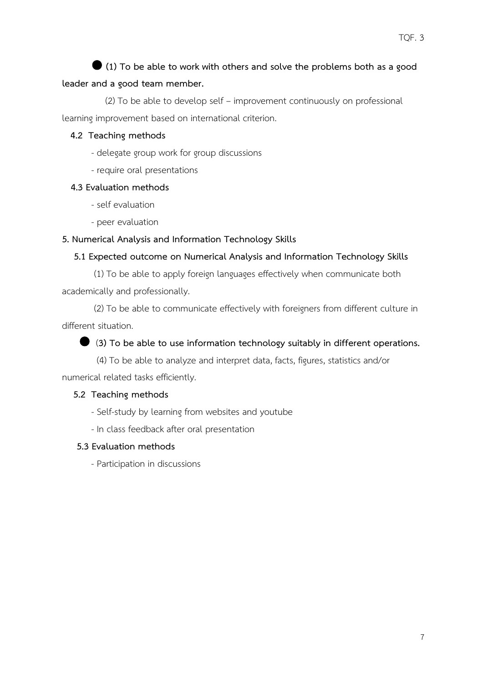# **(1) To be able to work with others and solve the problems both as a good**

#### **leader and a good team member.**

 (2) To be able to develop self – improvement continuously on professional learning improvement based on international criterion.

#### **4.2 Teaching methods**

- delegate group work for group discussions
- require oral presentations

#### **4.3 Evaluation methods**

- self evaluation
- peer evaluation

#### **5. Numerical Analysis and Information Technology Skills**

#### **5.1 Expected outcome on Numerical Analysis and Information Technology Skills**

(1) To be able to apply foreign languages effectively when communicate both academically and professionally.

(2) To be able to communicate effectively with foreigners from different culture in different situation.

## (**3) To be able to use information technology suitably in different operations.**

 (4) To be able to analyze and interpret data, facts, figures, statistics and/or numerical related tasks efficiently.

#### **5.2 Teaching methods**

- Self-study by learning from websites and youtube
- In class feedback after oral presentation

#### **5.3 Evaluation methods**

- Participation in discussions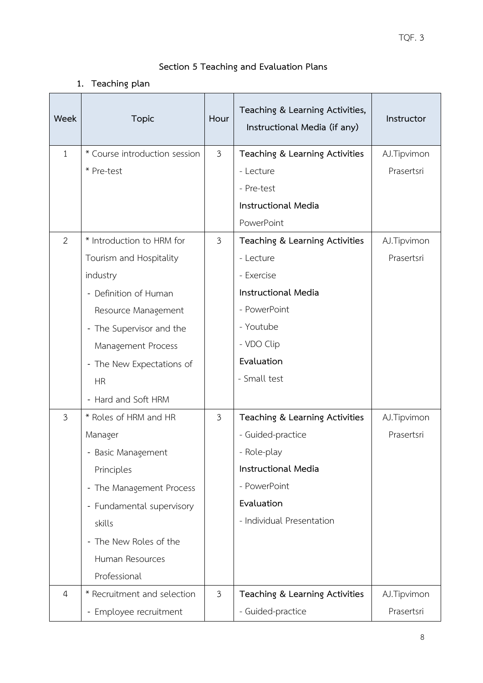# **Section 5 Teaching and Evaluation Plans**

# **1. Teaching plan**

| Week           | <b>Topic</b>                  | Hour           | Teaching & Learning Activities,<br>Instructional Media (if any) | Instructor  |
|----------------|-------------------------------|----------------|-----------------------------------------------------------------|-------------|
| $\mathbf{1}$   | * Course introduction session | $\mathfrak{Z}$ | Teaching & Learning Activities                                  | AJ.Tipvimon |
|                | * Pre-test                    |                | - Lecture                                                       | Prasertsri  |
|                |                               |                | - Pre-test                                                      |             |
|                |                               |                | <b>Instructional Media</b>                                      |             |
|                |                               |                | PowerPoint                                                      |             |
| $\overline{2}$ | * Introduction to HRM for     | 3              | Teaching & Learning Activities                                  | AJ.Tipvimon |
|                | Tourism and Hospitality       |                | - Lecture                                                       | Prasertsri  |
|                | industry                      |                | - Exercise                                                      |             |
|                | - Definition of Human         |                | <b>Instructional Media</b>                                      |             |
|                | Resource Management           |                | - PowerPoint                                                    |             |
|                | - The Supervisor and the      |                | - Youtube                                                       |             |
|                | Management Process            |                | - VDO Clip                                                      |             |
|                | - The New Expectations of     |                | Evaluation                                                      |             |
|                | <b>HR</b>                     |                | - Small test                                                    |             |
|                | - Hard and Soft HRM           |                |                                                                 |             |
| $\overline{3}$ | * Roles of HRM and HR         | 3              | Teaching & Learning Activities                                  | AJ.Tipvimon |
|                | Manager                       |                | - Guided-practice                                               | Prasertsri  |
|                | - Basic Management            |                | - Role-play                                                     |             |
|                | Principles                    |                | <b>Instructional Media</b>                                      |             |
|                | - The Management Process      |                | - PowerPoint                                                    |             |
|                | - Fundamental supervisory     |                | Evaluation                                                      |             |
|                | skills                        |                | - Individual Presentation                                       |             |
|                | - The New Roles of the        |                |                                                                 |             |
|                | Human Resources               |                |                                                                 |             |
|                | Professional                  |                |                                                                 |             |
| $\overline{4}$ | * Recruitment and selection   | $\mathfrak{Z}$ | Teaching & Learning Activities                                  | AJ.Tipvimon |
|                | - Employee recruitment        |                | - Guided-practice                                               | Prasertsri  |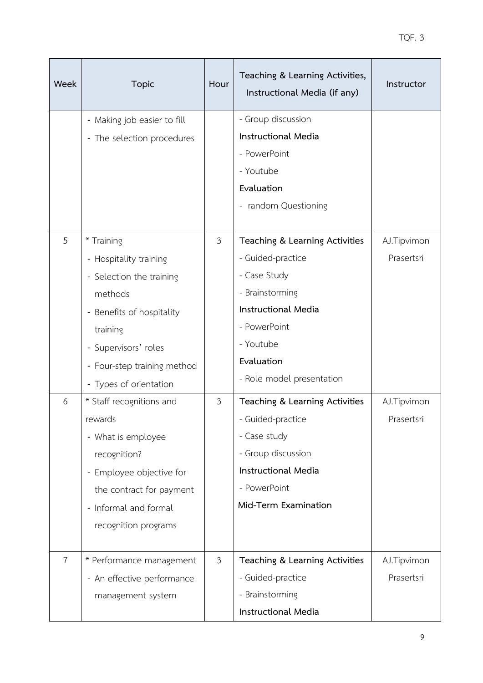| Week           | <b>Topic</b>                | Hour           | Teaching & Learning Activities,<br>Instructional Media (if any) | Instructor  |
|----------------|-----------------------------|----------------|-----------------------------------------------------------------|-------------|
|                | - Making job easier to fill |                | - Group discussion                                              |             |
|                | - The selection procedures  |                | <b>Instructional Media</b>                                      |             |
|                |                             |                | - PowerPoint                                                    |             |
|                |                             |                | - Youtube                                                       |             |
|                |                             |                | Evaluation                                                      |             |
|                |                             |                | - random Questioning                                            |             |
| 5              | * Training                  | $\mathfrak{Z}$ | Teaching & Learning Activities                                  | AJ.Tipvimon |
|                | - Hospitality training      |                | - Guided-practice                                               | Prasertsri  |
|                | - Selection the training    |                | - Case Study                                                    |             |
|                | methods                     |                | - Brainstorming                                                 |             |
|                | - Benefits of hospitality   |                | <b>Instructional Media</b>                                      |             |
|                | training                    |                | - PowerPoint                                                    |             |
|                | - Supervisors' roles        |                | - Youtube                                                       |             |
|                | - Four-step training method |                | Evaluation                                                      |             |
|                | - Types of orientation      |                | - Role model presentation                                       |             |
| 6              | * Staff recognitions and    | 3              | Teaching & Learning Activities                                  | AJ.Tipvimon |
|                | rewards                     |                | - Guided-practice                                               | Prasertsri  |
|                | - What is employee          |                | - Case study                                                    |             |
|                | recognition?                |                | - Group discussion                                              |             |
|                | - Employee objective for    |                | <b>Instructional Media</b>                                      |             |
|                | the contract for payment    |                | - PowerPoint                                                    |             |
|                | - Informal and formal       |                | Mid-Term Examination                                            |             |
|                | recognition programs        |                |                                                                 |             |
| $\overline{7}$ | * Performance management    | $\mathfrak{Z}$ | Teaching & Learning Activities                                  | AJ.Tipvimon |
|                | - An effective performance  |                | - Guided-practice                                               | Prasertsri  |
|                | management system           |                | - Brainstorming                                                 |             |
|                |                             |                | Instructional Media                                             |             |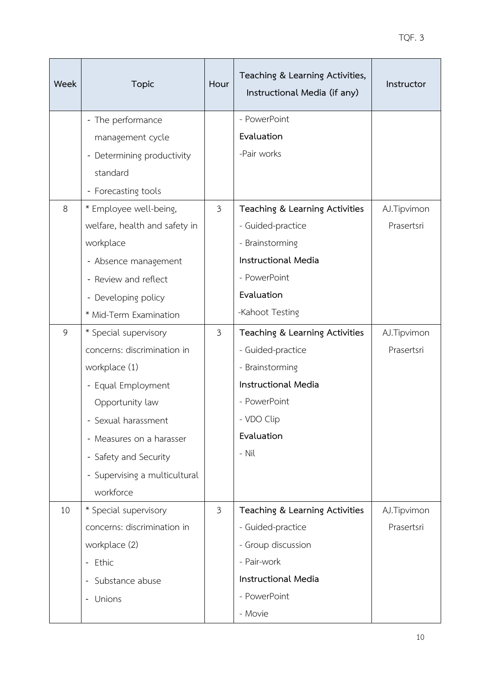| Week | <b>Topic</b>                      | Hour           | Teaching & Learning Activities,<br>Instructional Media (if any) | Instructor  |
|------|-----------------------------------|----------------|-----------------------------------------------------------------|-------------|
|      | - The performance                 |                | - PowerPoint                                                    |             |
|      | management cycle                  |                | Evaluation                                                      |             |
|      | - Determining productivity        |                | -Pair works                                                     |             |
|      | standard                          |                |                                                                 |             |
|      | - Forecasting tools               |                |                                                                 |             |
| 8    | * Employee well-being,            | $\mathfrak{Z}$ | Teaching & Learning Activities                                  | AJ.Tipvimon |
|      | welfare, health and safety in     |                | - Guided-practice                                               | Prasertsri  |
|      | workplace                         |                | - Brainstorming                                                 |             |
|      | - Absence management              |                | <b>Instructional Media</b>                                      |             |
|      | - Review and reflect              |                | - PowerPoint                                                    |             |
|      | - Developing policy               |                | Evaluation                                                      |             |
|      | * Mid-Term Examination            |                | -Kahoot Testing                                                 |             |
| 9    | * Special supervisory             | $\mathfrak{Z}$ | Teaching & Learning Activities                                  | AJ.Tipvimon |
|      | concerns: discrimination in       |                | - Guided-practice                                               | Prasertsri  |
|      | workplace (1)                     |                | - Brainstorming                                                 |             |
|      | - Equal Employment                |                | <b>Instructional Media</b>                                      |             |
|      | Opportunity law                   |                | - PowerPoint                                                    |             |
|      | - Sexual harassment               |                | - VDO Clip                                                      |             |
|      | - Measures on a harasser          |                | Evaluation                                                      |             |
|      | - Safety and Security             |                | - Nil                                                           |             |
|      | - Supervising a multicultural     |                |                                                                 |             |
|      | workforce                         |                |                                                                 |             |
| 10   | * Special supervisory             | $\mathfrak{Z}$ | Teaching & Learning Activities                                  | AJ.Tipvimon |
|      | concerns: discrimination in       |                | - Guided-practice                                               | Prasertsri  |
|      | workplace (2)                     |                | - Group discussion                                              |             |
|      | - Ethic                           |                | - Pair-work                                                     |             |
|      | Substance abuse<br>$\blacksquare$ |                | <b>Instructional Media</b>                                      |             |
|      | Unions                            |                | - PowerPoint                                                    |             |
|      |                                   |                | - Movie                                                         |             |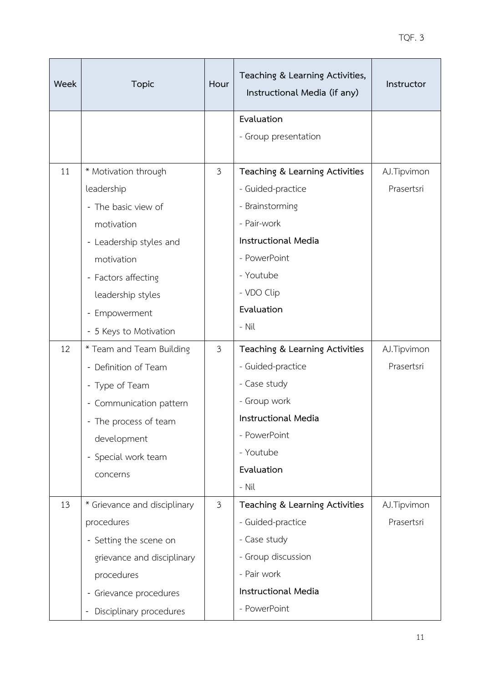| <b>Week</b> | <b>Topic</b>                                            | Hour           | Teaching & Learning Activities,<br>Instructional Media (if any) | Instructor  |
|-------------|---------------------------------------------------------|----------------|-----------------------------------------------------------------|-------------|
|             |                                                         |                | Evaluation                                                      |             |
|             |                                                         |                | - Group presentation                                            |             |
| 11          | * Motivation through                                    | $\mathfrak{Z}$ | Teaching & Learning Activities                                  | AJ.Tipvimon |
|             | leadership                                              |                | - Guided-practice                                               | Prasertsri  |
|             | - The basic view of                                     |                | - Brainstorming                                                 |             |
|             | motivation                                              |                | - Pair-work                                                     |             |
|             | - Leadership styles and                                 |                | <b>Instructional Media</b>                                      |             |
|             | motivation                                              |                | - PowerPoint                                                    |             |
|             | - Factors affecting                                     |                | - Youtube                                                       |             |
|             | leadership styles                                       |                | - VDO Clip                                                      |             |
|             | - Empowerment                                           |                | Evaluation                                                      |             |
|             | - 5 Keys to Motivation                                  |                | - Nil                                                           |             |
| 12          | * Team and Team Building                                | 3              | Teaching & Learning Activities                                  | AJ.Tipvimon |
|             | - Definition of Team                                    |                | - Guided-practice                                               | Prasertsri  |
|             | - Type of Team                                          |                | - Case study                                                    |             |
|             | - Communication pattern                                 |                | - Group work                                                    |             |
|             | - The process of team                                   |                | <b>Instructional Media</b>                                      |             |
|             | development                                             |                | - PowerPoint                                                    |             |
|             | - Special work team                                     |                | - Youtube                                                       |             |
|             | concerns                                                |                | Evaluation                                                      |             |
|             |                                                         |                | - Nil                                                           |             |
| 13          | * Grievance and disciplinary                            | 3              | Teaching & Learning Activities                                  | AJ.Tipvimon |
|             | procedures                                              |                | - Guided-practice                                               | Prasertsri  |
|             | - Setting the scene on                                  |                | - Case study                                                    |             |
|             | grievance and disciplinary                              |                | - Group discussion                                              |             |
|             | procedures                                              |                | - Pair work                                                     |             |
|             | - Grievance procedures                                  |                | <b>Instructional Media</b>                                      |             |
|             | Disciplinary procedures<br>$\qquad \qquad \blacksquare$ |                | - PowerPoint                                                    |             |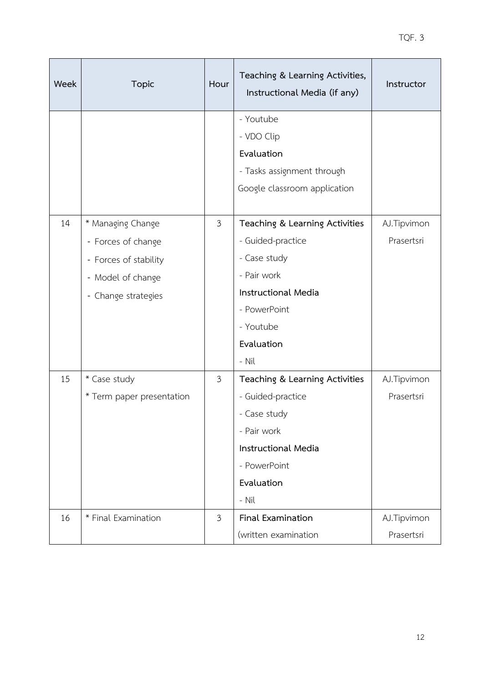| Week | <b>Topic</b>              | Hour           | Teaching & Learning Activities,<br>Instructional Media (if any) | Instructor  |
|------|---------------------------|----------------|-----------------------------------------------------------------|-------------|
|      |                           |                | - Youtube                                                       |             |
|      |                           |                | - VDO Clip                                                      |             |
|      |                           |                | Evaluation                                                      |             |
|      |                           |                | - Tasks assignment through                                      |             |
|      |                           |                | Google classroom application                                    |             |
| 14   | * Managing Change         | $\mathfrak{Z}$ | Teaching & Learning Activities                                  | AJ.Tipvimon |
|      | - Forces of change        |                | - Guided-practice                                               | Prasertsri  |
|      | - Forces of stability     |                | - Case study                                                    |             |
|      | - Model of change         |                | - Pair work                                                     |             |
|      | - Change strategies       |                | <b>Instructional Media</b>                                      |             |
|      |                           |                | - PowerPoint                                                    |             |
|      |                           |                | - Youtube                                                       |             |
|      |                           |                | Evaluation                                                      |             |
|      |                           |                | - Nil                                                           |             |
| 15   | * Case study              | $\mathfrak{Z}$ | Teaching & Learning Activities                                  | AJ.Tipvimon |
|      | * Term paper presentation |                | - Guided-practice                                               | Prasertsri  |
|      |                           |                | - Case study                                                    |             |
|      |                           |                | - Pair work                                                     |             |
|      |                           |                | <b>Instructional Media</b>                                      |             |
|      |                           |                | - PowerPoint                                                    |             |
|      |                           |                | Evaluation                                                      |             |
|      |                           |                | - Nil                                                           |             |
| 16   | * Final Examination       | 3              | <b>Final Examination</b>                                        | AJ.Tipvimon |
|      |                           |                | (written examination                                            | Prasertsri  |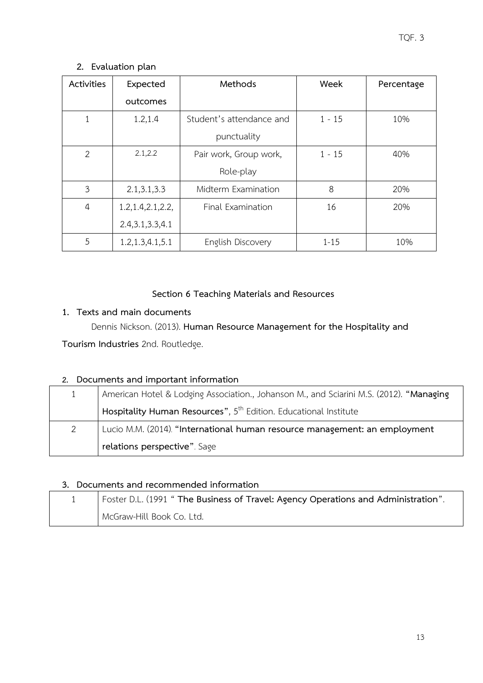**2. Evaluation plan**

| Activities     | Expected            | Methods                  | Week     | Percentage |
|----------------|---------------------|--------------------------|----------|------------|
|                | outcomes            |                          |          |            |
|                | 1.2, 1.4            | Student's attendance and | $1 - 15$ | 10%        |
|                |                     | punctuality              |          |            |
| $\overline{2}$ | 2.1, 2.2            | Pair work, Group work,   | $1 - 15$ | 40%        |
|                |                     | Role-play                |          |            |
| 3              | 2.1, 3.1, 3.3       | Midterm Examination      | 8        | 20%        |
| $\overline{4}$ | 1.2, 1.4, 2.1, 2.2, | Final Examination        | 16       | 20%        |
|                | 2.4, 3.1, 3.3, 4.1  |                          |          |            |
| 5              | 1.2, 1.3, 4.1, 5.1  | English Discovery        | $1 - 15$ | 10%        |

# **Section 6 Teaching Materials and Resources**

# **1. Texts and main documents**

Dennis Nickson. (2013). **Human Resource Management for the Hospitality and** 

**Tourism Industries** 2nd. Routledge.

# **2. Documents and important information**

|   | American Hotel & Lodging Association., Johanson M., and Sciarini M.S. (2012). "Managing |
|---|-----------------------------------------------------------------------------------------|
|   | Hospitality Human Resources", 5 <sup>th</sup> Edition. Educational Institute            |
| 2 | Lucio M.M. (2014). "International human resource management: an employment              |
|   | relations perspective". Sage                                                            |

# **3. Documents and recommended information**

| Foster D.L. (1991 " The Business of Travel: Agency Operations and Administration". |
|------------------------------------------------------------------------------------|
| McGraw-Hill Book Co. Ltd.                                                          |